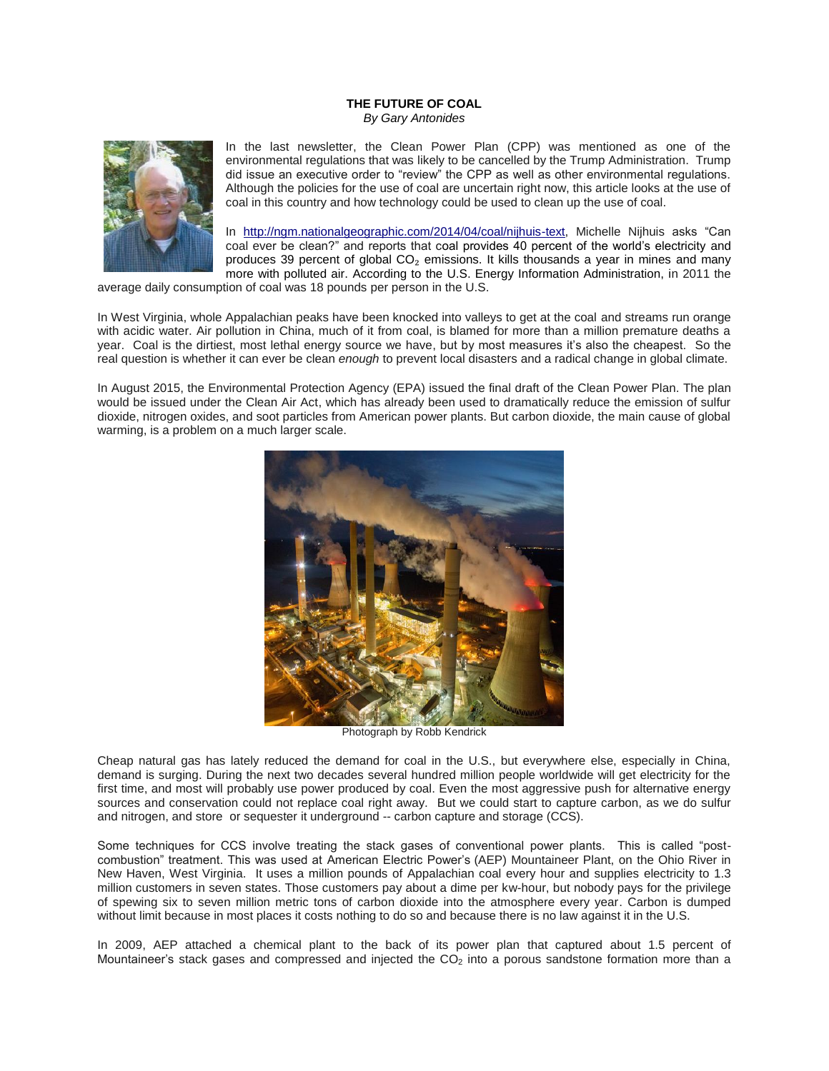## **THE FUTURE OF COAL** *By Gary Antonides*



In the last newsletter, the Clean Power Plan (CPP) was mentioned as one of the environmental regulations that was likely to be cancelled by the Trump Administration. Trump did issue an executive order to "review" the CPP as well as other environmental regulations. Although the policies for the use of coal are uncertain right now, this article looks at the use of coal in this country and how technology could be used to clean up the use of coal.

In [http://ngm.nationalgeographic.com/2014/04/coal/nijhuis-text,](http://ngm.nationalgeographic.com/2014/04/coal/nijhuis-text) Michelle Nijhuis asks "Can coal ever be clean?" and reports that coal provides 40 percent of the world's electricity and produces 39 percent of global  $CO<sub>2</sub>$  emissions. It kills thousands a year in mines and many more with polluted air. According to the U.S. Energy Information Administration, in 2011 the

average daily consumption of coal was 18 pounds per person in the U.S.

In West Virginia, whole Appalachian peaks have been knocked into valleys to get at the coal and streams run orange with acidic water. Air pollution in China, much of it from coal, is blamed for more than a million premature deaths a year. Coal is the dirtiest, most lethal energy source we have, but by most measures it's also the cheapest. So the real question is whether it can ever be clean *enough* to prevent local disasters and a radical change in global climate.

In August 2015, the Environmental Protection Agency (EPA) issued the final draft of the Clean Power Plan. The plan would be issued under the Clean Air Act, which has already been used to dramatically reduce the emission of sulfur dioxide, nitrogen oxides, and soot particles from American power plants. But carbon dioxide, the main cause of global warming, is a problem on a much larger scale.



Photograph by Robb Kendrick

Cheap natural gas has lately reduced the demand for coal in the U.S., but everywhere else, especially in China, demand is surging. During the next two decades several hundred million people worldwide will get electricity for the first time, and most will probably use power produced by coal. Even the most aggressive push for alternative energy sources and conservation could not replace coal right away. But we could start to capture carbon, as we do sulfur and nitrogen, and store or sequester it underground -- carbon capture and storage (CCS).

Some techniques for CCS involve treating the stack gases of conventional power plants. This is called "postcombustion" treatment. This was used at American Electric Power's (AEP) Mountaineer Plant, on the Ohio River in New Haven, West Virginia. It uses a million pounds of Appalachian coal every hour and supplies electricity to 1.3 million customers in seven states. Those customers pay about a dime per kw-hour, but nobody pays for the privilege of spewing six to seven million metric tons of carbon dioxide into the atmosphere every year. Carbon is dumped without limit because in most places it costs nothing to do so and because there is no law against it in the U.S.

In 2009, AEP attached a chemical plant to the back of its power plan that captured about 1.5 percent of Mountaineer's stack gases and compressed and injected the  $CO<sub>2</sub>$  into a porous sandstone formation more than a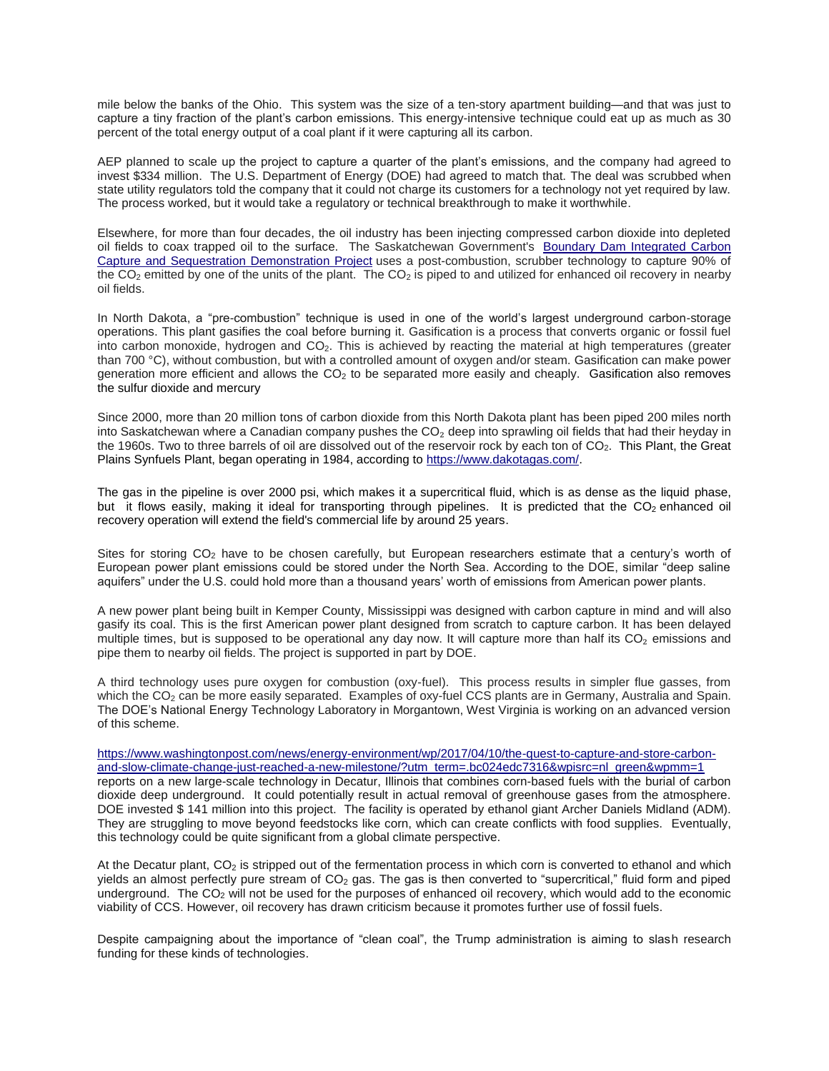mile below the banks of the Ohio. This system was the size of a ten-story apartment building—and that was just to capture a tiny fraction of the plant's carbon emissions. This energy-intensive technique could eat up as much as 30 percent of the total energy output of a coal plant if it were capturing all its carbon.

AEP planned to scale up the project to capture a quarter of the plant's emissions, and the company had agreed to invest \$334 million. The U.S. Department of Energy (DOE) had agreed to match that. The deal was scrubbed when state utility regulators told the company that it could not charge its customers for a technology not yet required by law. The process worked, but it would take a regulatory or technical breakthrough to make it worthwhile.

Elsewhere, for more than four decades, the oil industry has been injecting compressed carbon dioxide into depleted oil fields to coax trapped oil to the surface. The Saskatchewan Government's [Boundary Dam Integrated Carbon](https://en.wikipedia.org/wiki/Boundary_Dam_Power_Station)  [Capture and Sequestration Demonstration Project](https://en.wikipedia.org/wiki/Boundary_Dam_Power_Station) uses a post-combustion, scrubber technology to capture 90% of the  $CO<sub>2</sub>$  emitted by one of the units of the plant. The  $CO<sub>2</sub>$  is piped to and utilized for enhanced oil recovery in nearby oil fields.

In North Dakota, a "pre-combustion" technique is used in one of the world's largest underground carbon-storage operations. This plant gasifies the coal before burning it. Gasification is a process that converts organic or fossil fuel into carbon monoxide, hydrogen and  $CO<sub>2</sub>$ . This is achieved by reacting the material at high temperatures (greater than 700 °C), without combustion, but with a controlled amount of oxygen and/or steam. Gasification can make power generation more efficient and allows the  $CO<sub>2</sub>$  to be separated more easily and cheaply. Gasification also removes the sulfur dioxide and mercury

Since 2000, more than 20 million tons of carbon dioxide from this North Dakota plant has been piped 200 miles north into Saskatchewan where a Canadian company pushes the  $CO<sub>2</sub>$  deep into sprawling oil fields that had their heyday in the 1960s. Two to three barrels of oil are dissolved out of the reservoir rock by each ton of  $CO<sub>2</sub>$ . This Plant, the Great Plains Synfuels Plant, began operating in 1984, according to [https://www.dakotagas.com/.](https://www.dakotagas.com/)

The gas in the pipeline is over 2000 psi, which makes it a supercritical fluid, which is as dense as the liquid phase, but it flows easily, making it ideal for transporting through pipelines. It is predicted that the  $CO<sub>2</sub>$  enhanced oil recovery operation will extend the field's commercial life by around 25 years.

Sites for storing CO<sub>2</sub> have to be chosen carefully, but European researchers estimate that a century's worth of European power plant emissions could be stored under the North Sea. According to the DOE, similar "deep saline aquifers" under the U.S. could hold more than a thousand years' worth of emissions from American power plants.

A new power plant being built in Kemper County, Mississippi was designed with carbon capture in mind and will also gasify its coal. This is the first American power plant designed from scratch to capture carbon. It has been delayed multiple times, but is supposed to be operational any day now. It will capture more than half its  $CO<sub>2</sub>$  emissions and pipe them to nearby oil fields. The project is supported in part by DOE.

A third technology uses pure oxygen for combustion (oxy-fuel). This process results in simpler flue gasses, from which the CO<sub>2</sub> can be more easily separated. Examples of oxy-fuel CCS plants are in Germany, Australia and Spain. The DOE's National Energy Technology Laboratory in Morgantown, West Virginia is working on an advanced version of this scheme.

## [https://www.washingtonpost.com/news/energy-environment/wp/2017/04/10/the-quest-to-capture-and-store-carbon](https://www.washingtonpost.com/news/energy-environment/wp/2017/04/10/the-quest-to-capture-and-store-carbon-and-slow-climate-change-just-reached-a-new-milestone/?utm_term=.bc024edc7316&wpisrc=nl_green&wpmm=1)[and-slow-climate-change-just-reached-a-new-milestone/?utm\\_term=.bc024edc7316&wpisrc=nl\\_green&wpmm=1](https://www.washingtonpost.com/news/energy-environment/wp/2017/04/10/the-quest-to-capture-and-store-carbon-and-slow-climate-change-just-reached-a-new-milestone/?utm_term=.bc024edc7316&wpisrc=nl_green&wpmm=1) reports on a new large-scale technology in Decatur, Illinois that combines corn-based fuels with the burial of carbon

dioxide deep underground. It could potentially result in actual removal of greenhouse gases from the atmosphere. DOE invested \$ 141 million into this project. The facility is operated by ethanol giant Archer Daniels Midland (ADM). They are struggling to move beyond feedstocks like corn, which can create conflicts with food supplies. Eventually, this technology could be quite significant from a global climate perspective.

At the Decatur plant,  $CO<sub>2</sub>$  is stripped out of the fermentation process in which corn is converted to ethanol and which yields an almost perfectly pure stream of  $CO<sub>2</sub>$  gas. The gas is then converted to "supercritical," fluid form and piped underground. The CO<sup>2</sup> will not be used for the purposes of enhanced oil recovery, which would add to the economic viability of CCS. However, oil recovery has drawn criticism because it promotes further use of fossil fuels.

Despite campaigning about the importance of "clean coal", the Trump administration is aiming to slash research funding for these kinds of technologies.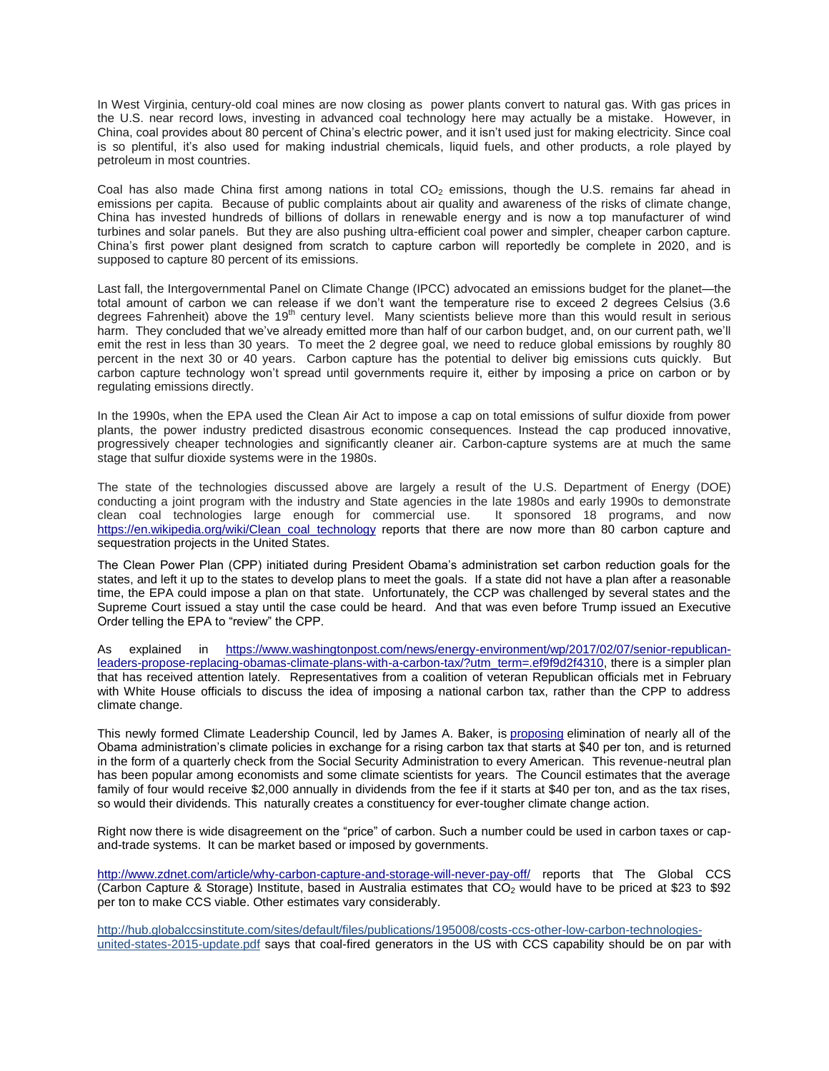In West Virginia, century-old coal mines are now closing as power plants convert to natural gas. With gas prices in the U.S. near record lows, investing in advanced coal technology here may actually be a mistake. However, in China, coal provides about 80 percent of China's electric power, and it isn't used just for making electricity. Since coal is so plentiful, it's also used for making industrial chemicals, liquid fuels, and other products, a role played by petroleum in most countries.

Coal has also made China first among nations in total  $CO<sub>2</sub>$  emissions, though the U.S. remains far ahead in emissions per capita. Because of public complaints about air quality and awareness of the risks of climate change, China has invested hundreds of billions of dollars in renewable energy and is now a top manufacturer of wind turbines and solar panels. But they are also pushing ultra-efficient coal power and simpler, cheaper carbon capture. China's first power plant designed from scratch to capture carbon will reportedly be complete in 2020, and is supposed to capture 80 percent of its emissions.

Last fall, the Intergovernmental Panel on Climate Change (IPCC) advocated an emissions budget for the planet—the total amount of carbon we can release if we don't want the temperature rise to exceed 2 degrees Celsius (3.6 degrees Fahrenheit) above the  $19<sup>th</sup>$  century level. Many scientists believe more than this would result in serious harm. They concluded that we've already emitted more than half of our carbon budget, and, on our current path, we'll emit the rest in less than 30 years. To meet the 2 degree goal, we need to reduce global emissions by roughly 80 percent in the next 30 or 40 years. Carbon capture has the potential to deliver big emissions cuts quickly. But carbon capture technology won't spread until governments require it, either by imposing a price on carbon or by regulating emissions directly.

In the 1990s, when the EPA used the Clean Air Act to impose a cap on total emissions of sulfur dioxide from power plants, the power industry predicted disastrous economic consequences. Instead the cap produced innovative, progressively cheaper technologies and significantly cleaner air. Carbon-capture systems are at much the same stage that sulfur dioxide systems were in the 1980s.

The state of the technologies discussed above are largely a result of the U.S. Department of Energy (DOE) conducting a joint program with the industry and State agencies in the late 1980s and early 1990s to demonstrate clean coal technologies large enough for commercial use. It sponsored 18 programs, and now [https://en.wikipedia.org/wiki/Clean\\_coal\\_technology](https://en.wikipedia.org/wiki/Clean_coal_technology) reports that there are now more than 80 carbon capture and sequestration projects in the United States.

The Clean Power Plan (CPP) initiated during President Obama's administration set carbon reduction goals for the states, and left it up to the states to develop plans to meet the goals. If a state did not have a plan after a reasonable time, the EPA could impose a plan on that state. Unfortunately, the CCP was challenged by several states and the Supreme Court issued a stay until the case could be heard. And that was even before Trump issued an Executive Order telling the EPA to "review" the CPP.

As explained in [https://www.washingtonpost.com/news/energy-environment/wp/2017/02/07/senior-republican](https://www.washingtonpost.com/news/energy-environment/wp/2017/02/07/senior-republican-leaders-propose-replacing-obamas-climate-plans-with-a-carbon-tax/?utm_term=.ef9f9d2f4310)[leaders-propose-replacing-obamas-climate-plans-with-a-carbon-tax/?utm\\_term=.ef9f9d2f4310,](https://www.washingtonpost.com/news/energy-environment/wp/2017/02/07/senior-republican-leaders-propose-replacing-obamas-climate-plans-with-a-carbon-tax/?utm_term=.ef9f9d2f4310) there is a simpler plan that has received attention lately. Representatives from a coalition of veteran Republican officials met in February with White House officials to discuss the idea of imposing a national carbon tax, rather than the CPP to address climate change.

This newly formed Climate Leadership Council, led by James A. Baker, is [proposing](https://www.clcouncil.org/wp-content/uploads/2017/02/TheConservativeCaseforCarbonDividends.pdf) elimination of nearly all of the Obama administration's climate policies in exchange for a rising carbon tax that starts at \$40 per ton, and is returned in the form of a quarterly check from the Social Security Administration to every American. This revenue-neutral plan has been popular among economists and some climate scientists for years. The Council estimates that the average family of four would receive \$2,000 annually in dividends from the fee if it starts at \$40 per ton, and as the tax rises, so would their dividends. This naturally creates a constituency for ever-tougher climate change action.

Right now there is wide disagreement on the "price" of carbon. Such a number could be used in carbon taxes or capand-trade systems. It can be market based or imposed by governments.

<http://www.zdnet.com/article/why-carbon-capture-and-storage-will-never-pay-off/> reports that The Global CCS (Carbon Capture & Storage) Institute, based in Australia estimates that  $CO<sub>2</sub>$  would have to be priced at \$23 to \$92 per ton to make CCS viable. Other estimates vary considerably.

http://hub.globalccsinstitute.com/sites/default/files/publications/195008/costs-ccs-other-low-carbon-technologiesunited-states-2015-update.pdf says that coal-fired generators in the US with CCS capability should be on par with